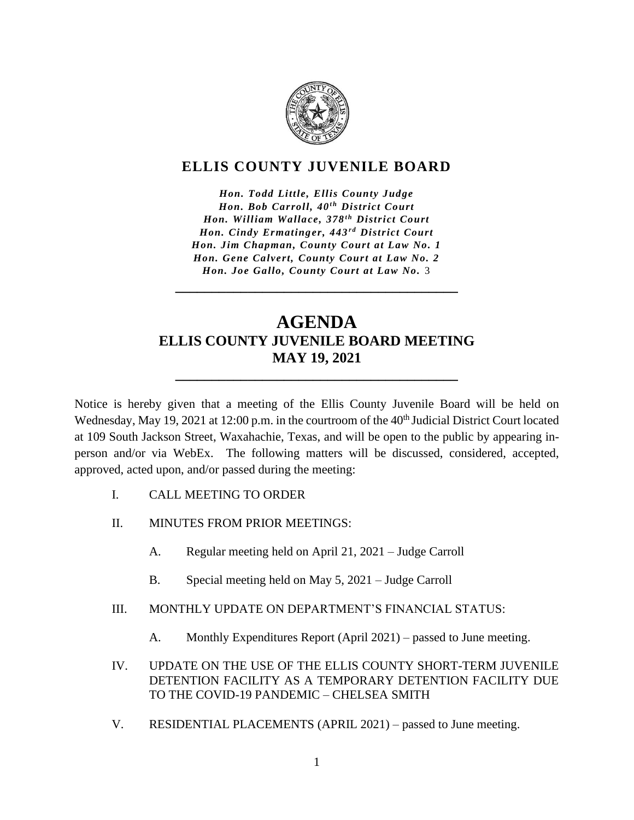

## **ELLIS COUNTY JUVENILE BOARD**

*Hon. Todd Little, Ellis County Judge Hon. Bob Carroll, 40<sup>th</sup> District Court Hon. William Wallace, 378<sup>th</sup> District Court Hon. Cindy Ermatinger, 443<sup>rd</sup> District Court Hon. Jim Chapman, County Court at Law No. 1 Hon. Gene Calvert, County Court at Law No. 2 Hon. Joe Gallo, County Court at Law No.* 3

## **AGENDA ELLIS COUNTY JUVENILE BOARD MEETING MAY 19, 2021**

**\_\_\_\_\_\_\_\_\_\_\_\_\_\_\_\_\_\_\_\_\_\_\_\_\_\_\_\_\_\_\_\_\_\_\_\_\_\_\_**

**\_\_\_\_\_\_\_\_\_\_\_\_\_\_\_\_\_\_\_\_\_\_\_\_\_\_\_\_\_\_\_\_\_\_\_\_\_\_\_**

Notice is hereby given that a meeting of the Ellis County Juvenile Board will be held on Wednesday, May 19, 2021 at 12:00 p.m. in the courtroom of the 40<sup>th</sup> Judicial District Court located at 109 South Jackson Street, Waxahachie, Texas, and will be open to the public by appearing inperson and/or via WebEx. The following matters will be discussed, considered, accepted, approved, acted upon, and/or passed during the meeting:

- I. CALL MEETING TO ORDER
- II. MINUTES FROM PRIOR MEETINGS:
	- A. Regular meeting held on April 21, 2021 Judge Carroll
	- B. Special meeting held on May 5, 2021 Judge Carroll
- III. MONTHLY UPDATE ON DEPARTMENT'S FINANCIAL STATUS:
	- A. Monthly Expenditures Report (April 2021) passed to June meeting.
- IV. UPDATE ON THE USE OF THE ELLIS COUNTY SHORT-TERM JUVENILE DETENTION FACILITY AS A TEMPORARY DETENTION FACILITY DUE TO THE COVID-19 PANDEMIC – CHELSEA SMITH
- V. RESIDENTIAL PLACEMENTS (APRIL 2021) passed to June meeting.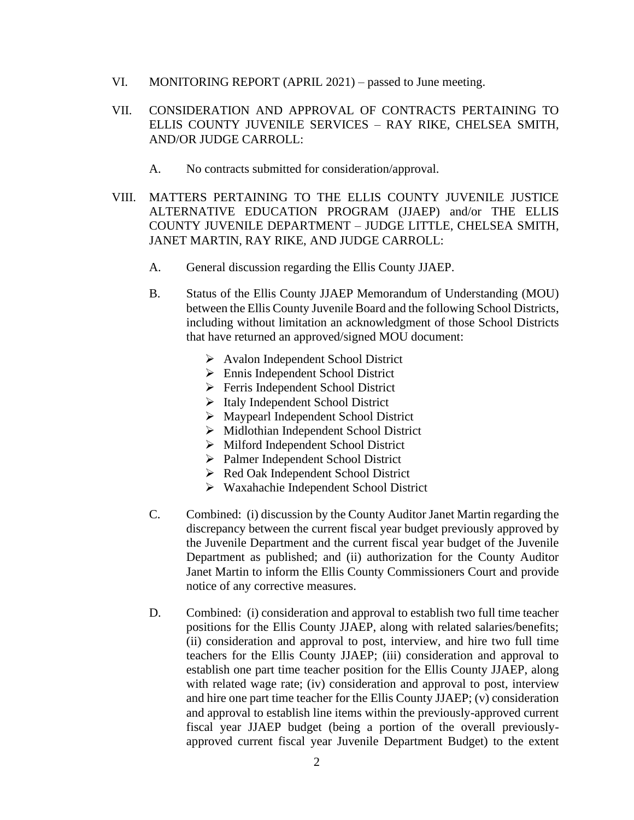- VI. MONITORING REPORT (APRIL 2021) passed to June meeting.
- VII. CONSIDERATION AND APPROVAL OF CONTRACTS PERTAINING TO ELLIS COUNTY JUVENILE SERVICES – RAY RIKE, CHELSEA SMITH, AND/OR JUDGE CARROLL:
	- A. No contracts submitted for consideration/approval.
- VIII. MATTERS PERTAINING TO THE ELLIS COUNTY JUVENILE JUSTICE ALTERNATIVE EDUCATION PROGRAM (JJAEP) and/or THE ELLIS COUNTY JUVENILE DEPARTMENT – JUDGE LITTLE, CHELSEA SMITH, JANET MARTIN, RAY RIKE, AND JUDGE CARROLL:
	- A. General discussion regarding the Ellis County JJAEP.
	- B. Status of the Ellis County JJAEP Memorandum of Understanding (MOU) between the Ellis County Juvenile Board and the following School Districts, including without limitation an acknowledgment of those School Districts that have returned an approved/signed MOU document:
		- ➢ Avalon Independent School District
		- ➢ Ennis Independent School District
		- ➢ Ferris Independent School District
		- ➢ Italy Independent School District
		- ➢ Maypearl Independent School District
		- ➢ Midlothian Independent School District
		- ➢ Milford Independent School District
		- ➢ Palmer Independent School District
		- ➢ Red Oak Independent School District
		- ➢ Waxahachie Independent School District
	- C. Combined: (i) discussion by the County Auditor Janet Martin regarding the discrepancy between the current fiscal year budget previously approved by the Juvenile Department and the current fiscal year budget of the Juvenile Department as published; and (ii) authorization for the County Auditor Janet Martin to inform the Ellis County Commissioners Court and provide notice of any corrective measures.
	- D. Combined: (i) consideration and approval to establish two full time teacher positions for the Ellis County JJAEP, along with related salaries/benefits; (ii) consideration and approval to post, interview, and hire two full time teachers for the Ellis County JJAEP; (iii) consideration and approval to establish one part time teacher position for the Ellis County JJAEP, along with related wage rate; (iv) consideration and approval to post, interview and hire one part time teacher for the Ellis County JJAEP; (v) consideration and approval to establish line items within the previously-approved current fiscal year JJAEP budget (being a portion of the overall previouslyapproved current fiscal year Juvenile Department Budget) to the extent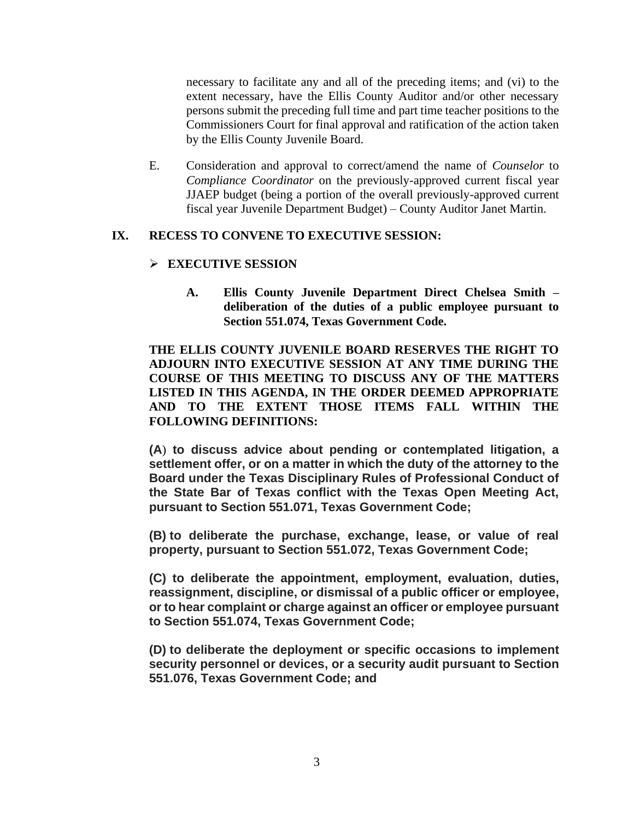necessary to facilitate any and all of the preceding items; and (vi) to the extent necessary, have the Ellis County Auditor and/or other necessary persons submit the preceding full time and part time teacher positions to the Commissioners Court for final approval and ratification of the action taken by the Ellis County Juvenile Board.

E. Consideration and approval to correct/amend the name of *Counselor* to *Compliance Coordinator* on the previously-approved current fiscal year JJAEP budget (being a portion of the overall previously-approved current fiscal year Juvenile Department Budget) – County Auditor Janet Martin.

## **IX. RECESS TO CONVENE TO EXECUTIVE SESSION:**

## ➢ **EXECUTIVE SESSION**

**A. Ellis County Juvenile Department Direct Chelsea Smith – deliberation of the duties of a public employee pursuant to Section 551.074, Texas Government Code.**

**THE ELLIS COUNTY JUVENILE BOARD RESERVES THE RIGHT TO ADJOURN INTO EXECUTIVE SESSION AT ANY TIME DURING THE COURSE OF THIS MEETING TO DISCUSS ANY OF THE MATTERS LISTED IN THIS AGENDA, IN THE ORDER DEEMED APPROPRIATE AND TO THE EXTENT THOSE ITEMS FALL WITHIN THE FOLLOWING DEFINITIONS:**

**(A**) **to discuss advice about pending or contemplated litigation, a settlement offer, or on a matter in which the duty of the attorney to the Board under the Texas Disciplinary Rules of Professional Conduct of the State Bar of Texas conflict with the Texas Open Meeting Act, pursuant to Section 551.071, Texas Government Code;**

**(B) to deliberate the purchase, exchange, lease, or value of real property, pursuant to Section 551.072, Texas Government Code;**

**(C) to deliberate the appointment, employment, evaluation, duties, reassignment, discipline, or dismissal of a public officer or employee, or to hear complaint or charge against an officer or employee pursuant to Section 551.074, Texas Government Code;**

**(D) to deliberate the deployment or specific occasions to implement security personnel or devices, or a security audit pursuant to Section 551.076, Texas Government Code; and**